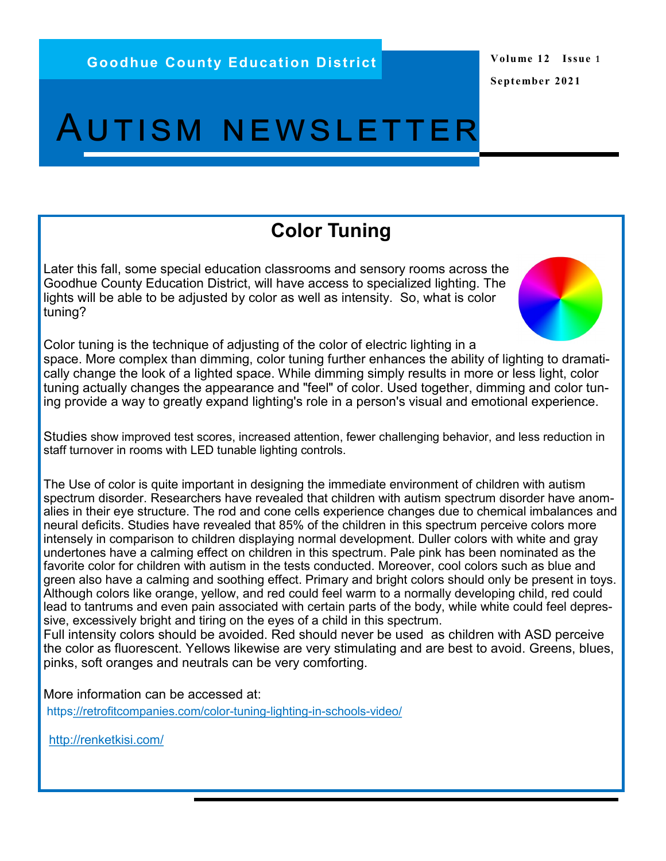## Autism newsletter

## **Color Tuning**

Later this fall, some special education classrooms and sensory rooms across the Goodhue County Education District, will have access to specialized lighting. The lights will be able to be adjusted by color as well as intensity. So, what is color tuning?

Color tuning is the technique of adjusting of the color of electric lighting in a space. More complex than dimming, color tuning further enhances the ability of lighting to dramatically change the look of a lighted space. While dimming simply results in more or less light, color tuning actually changes the appearance and "feel" of color. Used together, dimming and color tuning provide a way to greatly expand lighting's role in a person's visual and emotional experience.

Studies show improved test scores, increased attention, fewer challenging behavior, and less reduction in staff turnover in rooms with LED tunable lighting controls.

The Use of color is quite important in designing the immediate environment of children with autism spectrum disorder. Researchers have revealed that children with autism spectrum disorder have anomalies in their eye structure. The rod and cone cells experience changes due to chemical imbalances and neural deficits. Studies have revealed that 85% of the children in this spectrum perceive colors more intensely in comparison to children displaying normal development. Duller colors with white and gray undertones have a calming effect on children in this spectrum. Pale pink has been nominated as the favorite color for children with autism in the tests conducted. Moreover, cool colors such as blue and green also have a calming and soothing effect. Primary and bright colors should only be present in toys. Although colors like orange, yellow, and red could feel warm to a normally developing child, red could lead to tantrums and even pain associated with certain parts of the body, while white could feel depressive, excessively bright and tiring on the eyes of a child in this spectrum.

Full intensity colors should be avoided. Red should never be used as children with ASD perceive the color as fluorescent. Yellows likewise are very stimulating and are best to avoid. Greens, blues, pinks, soft oranges and neutrals can be very comforting.

More information can be accessed at:

http[s://retrofitcompanies.com/color](https://retrofitcompanies.com/color-tuning-lighting-in-schools-video/)-tuning-lighting-in-schools-video/

<http://renketkisi.com/>